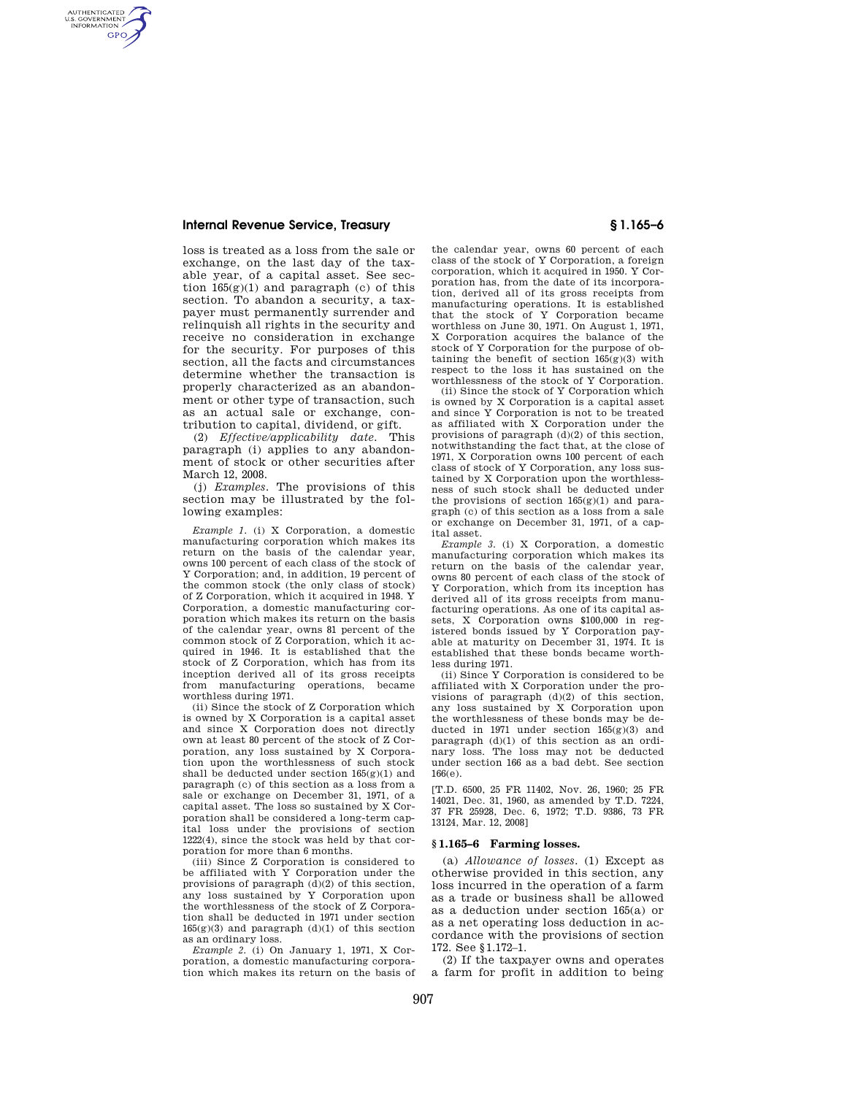## **Internal Revenue Service, Treasury § 1.165–6**

AUTHENTICATED<br>U.S. GOVERNMENT<br>INFORMATION **GPO** 

> loss is treated as a loss from the sale or exchange, on the last day of the taxable year, of a capital asset. See section  $165(g)(1)$  and paragraph (c) of this section. To abandon a security, a taxpayer must permanently surrender and relinquish all rights in the security and receive no consideration in exchange for the security. For purposes of this section, all the facts and circumstances determine whether the transaction is properly characterized as an abandonment or other type of transaction, such as an actual sale or exchange, contribution to capital, dividend, or gift.

> (2) *Effective/applicability date.* This paragraph (i) applies to any abandonment of stock or other securities after March 12, 2008.

> (j) *Examples.* The provisions of this section may be illustrated by the following examples:

*Example 1.* (i) X Corporation, a domestic manufacturing corporation which makes its return on the basis of the calendar year, owns 100 percent of each class of the stock of Y Corporation; and, in addition, 19 percent of the common stock (the only class of stock) of Z Corporation, which it acquired in 1948. Y Corporation, a domestic manufacturing corporation which makes its return on the basis of the calendar year, owns 81 percent of the common stock of Z Corporation, which it acquired in 1946. It is established that the stock of Z Corporation, which has from its inception derived all of its gross receipts from manufacturing operations, became worthless during 1971.

(ii) Since the stock of Z Corporation which is owned by X Corporation is a capital asset and since X Corporation does not directly own at least 80 percent of the stock of Z Corporation, any loss sustained by X Corporation upon the worthlessness of such stock shall be deducted under section 165(g)(1) and paragraph (c) of this section as a loss from a sale or exchange on December 31, 1971, of a capital asset. The loss so sustained by X Corporation shall be considered a long-term capital loss under the provisions of section 1222(4), since the stock was held by that corporation for more than 6 months.

(iii) Since Z Corporation is considered to be affiliated with  $\bar{Y}$  Corporation under the provisions of paragraph (d)(2) of this section, any loss sustained by Y Corporation upon the worthlessness of the stock of Z Corporation shall be deducted in 1971 under section  $165(g)(3)$  and paragraph  $(d)(1)$  of this section as an ordinary loss.

*Example 2.* (i) On January 1, 1971, X Corporation, a domestic manufacturing corporation which makes its return on the basis of

the calendar year, owns 60 percent of each class of the stock of Y Corporation, a foreign corporation, which it acquired in 1950. Y Corporation has, from the date of its incorporation, derived all of its gross receipts from manufacturing operations. It is established that the stock of Y Corporation became worthless on June 30, 1971. On August 1, 1971, X Corporation acquires the balance of the stock of Y Corporation for the purpose of obtaining the benefit of section  $165(g)(3)$  with respect to the loss it has sustained on the worthlessness of the stock of Y Corporation.

(ii) Since the stock of Y Corporation which is owned by X Corporation is a capital asset and since Y Corporation is not to be treated as affiliated with X Corporation under the provisions of paragraph (d)(2) of this section, notwithstanding the fact that, at the close of 1971, X Corporation owns 100 percent of each class of stock of Y Corporation, any loss sustained by X Corporation upon the worthlessness of such stock shall be deducted under the provisions of section  $165(g)(1)$  and paragraph (c) of this section as a loss from a sale or exchange on December 31, 1971, of a capital asset.

*Example 3.* (i) X Corporation, a domestic manufacturing corporation which makes its return on the basis of the calendar year, owns 80 percent of each class of the stock of Y Corporation, which from its inception has derived all of its gross receipts from manufacturing operations. As one of its capital assets, X Corporation owns \$100,000 in registered bonds issued by Y Corporation payable at maturity on December 31, 1974. It is established that these bonds became worthless during 1971.

(ii) Since Y Corporation is considered to be affiliated with X Corporation under the provisions of paragraph (d)(2) of this section, any loss sustained by X Corporation upon the worthlessness of these bonds may be deducted in 1971 under section 165(g)(3) and paragraph (d)(1) of this section as an ordinary loss. The loss may not be deducted under section 166 as a bad debt. See section 166(e).

[T.D. 6500, 25 FR 11402, Nov. 26, 1960; 25 FR. 14021, Dec. 31, 1960, as amended by T.D. 7224, 37 FR 25928, Dec. 6, 1972; T.D. 9386, 73 FR 13124, Mar. 12, 2008]

## **§ 1.165–6 Farming losses.**

(a) *Allowance of losses.* (1) Except as otherwise provided in this section, any loss incurred in the operation of a farm as a trade or business shall be allowed as a deduction under section 165(a) or as a net operating loss deduction in accordance with the provisions of section 172. See §1.172–1.

(2) If the taxpayer owns and operates a farm for profit in addition to being